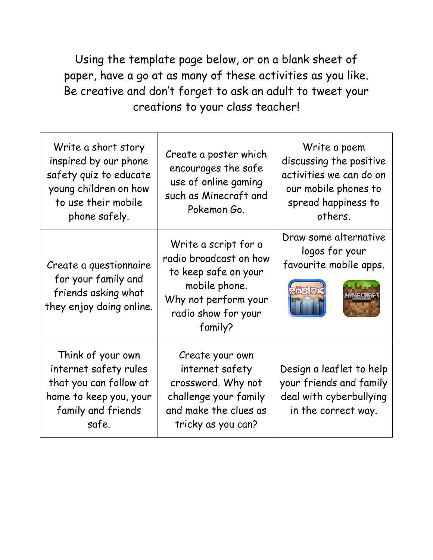Using the template page below, or on a blank sheet of paper, have a go at as many of these activities as you like. Be creative and don't forget to ask an adult to tweet your creations to your class teacher!

| Write a short story<br>inspired by our phone<br>safety quiz to educate<br>young children on how<br>to use their mobile<br>phone safely. | Create a poster which<br>encourages the safe<br>use of online gaming<br>such as Minecraft and<br>Pokemon Go.                                      | Write a poem<br>discussing the positive<br>activities we can do on<br>our mobile phones to<br>spread happiness to<br>others. |
|-----------------------------------------------------------------------------------------------------------------------------------------|---------------------------------------------------------------------------------------------------------------------------------------------------|------------------------------------------------------------------------------------------------------------------------------|
| Create a questionnaire<br>for your family and<br>friends asking what<br>they enjoy doing online.                                        | Write a script for a<br>radio broadcast on how<br>to keep safe on your<br>mobile phone.<br>Why not perform your<br>radio show for your<br>family? | Draw some alternative<br>logos for your<br>favourite mobile apps.<br>REBLEX                                                  |
| Think of your own<br>internet safety rules<br>that you can follow at<br>home to keep you, your<br>family and friends<br>safe.           | Create your own<br>internet safety<br>crossword. Why not<br>challenge your family<br>and make the clues as<br>tricky as you can?                  | Design a leaflet to help<br>your friends and family<br>deal with cyberbullying<br>in the correct way.                        |